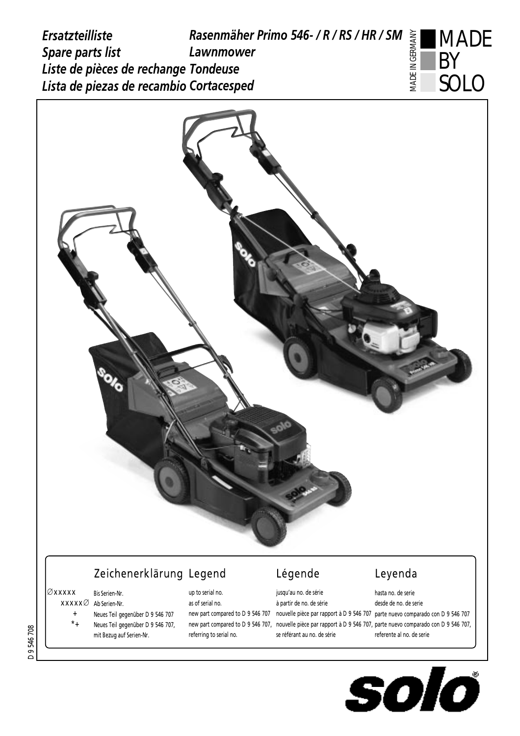



## Zeichenerklärung Legend and Légende Leyenda

#### Æxxxxx Bis Serien-Nr.

- $\mathsf{XXXX} \varnothing$  Ab Serien-Nr.
	- + Neues Teil gegenüber D 9 546 707
	- \*+ Neues Teil gegenüber D 9 546 707, mit Bezug auf Serien-Nr.

# as of serial no.

up to serial no.

## referring to serial no.

### jusqu'au no. de série à partir de no. de série hew part compared to D 9 546 707 – nouvelle pièce par rapport à D 9 546 707 -parte nuevo comparado con D 9 546 new part compared to D 9 546 707, "nouvelle piece par rapport a D 9 546 707, parte nuevo comparado con D 9 546 707, se référant au no. de série referente al no. de serie

hasta no. de serie desde de no. de serie



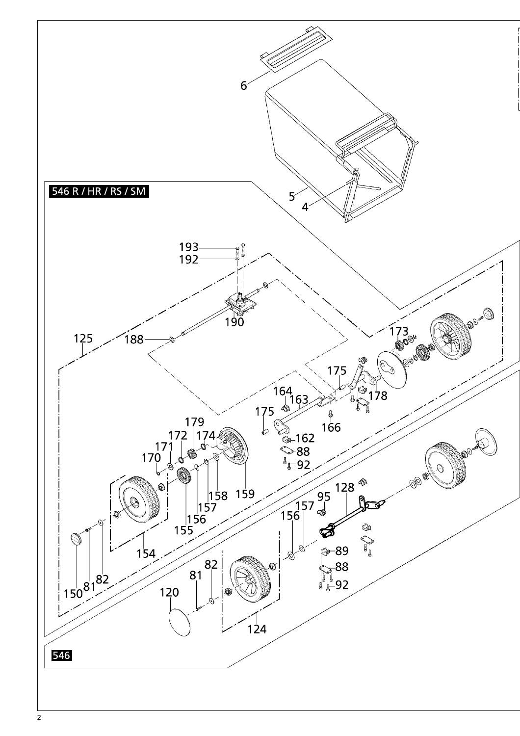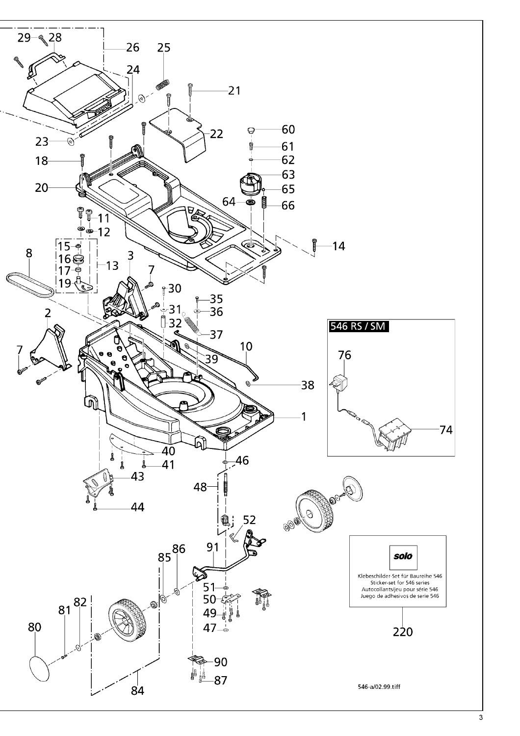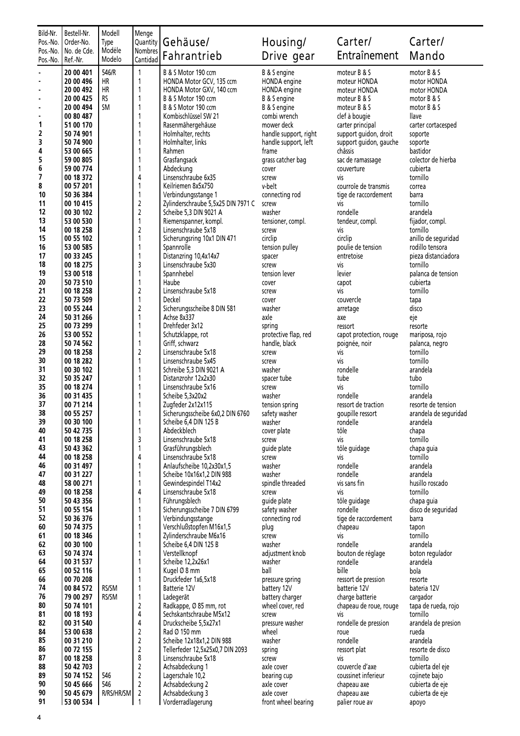| Bild-Nr.             | Bestell-Nr.              | Modell          | Menge               |                                                              |                                |                                     |                                    |  |
|----------------------|--------------------------|-----------------|---------------------|--------------------------------------------------------------|--------------------------------|-------------------------------------|------------------------------------|--|
| Pos.-No.<br>Pos.-No. | Order-No.<br>No. de Cde. | Type<br>Modéle  | Quantity<br>Nombres | Gehäuse/                                                     | Housing/                       | Carter/                             | Carter/                            |  |
| Pos.-No.             | Ref.-Nr.                 | Modelo          | Cantidad            | Fahrantrieb                                                  | Drive gear                     | Entraînement                        | Mando                              |  |
|                      | 20 00 401                | 546/R           | $\mathbf{1}$        | B & S Motor 190 ccm                                          | B & S engine                   | moteur B & S                        | motor B & S                        |  |
| ٠                    | 20 00 496                | HR              | 1                   | HONDA Motor GCV, 135 ccm                                     | HONDA engine                   | moteur HONDA                        | motor HONDA                        |  |
| ٠                    | 20 00 492                | HR<br><b>RS</b> | 1<br>1              | HONDA Motor GXV, 140 ccm                                     | HONDA engine                   | moteur HONDA                        | motor HONDA                        |  |
| ٠<br>×,              | 20 00 425<br>20 00 494   | <b>SM</b>       | 1                   | B & S Motor 190 ccm<br>B & S Motor 190 ccm                   | B & S engine<br>B & S engine   | moteur B & S<br>moteur B & S        | motor B & S<br>motor B & S         |  |
|                      | 00 80 487                |                 | 1                   | Kombischlüssel SW 21                                         | combi wrench                   | clef à bougie                       | <b>llave</b>                       |  |
| 1                    | 51 00 170                |                 | 1                   | Rasenmähergehäuse                                            | mower deck                     | carter principal                    | carter cortacesped                 |  |
| 2                    | 50 74 901                |                 | 1                   | Holmhalter, rechts                                           | handle support, right          | support guidon, droit               | soporte                            |  |
| 3                    | 50 74 900                |                 | 1                   | Holmhalter, links                                            | handle support, left           | support guidon, gauche              | soporte                            |  |
| 4<br>5               | 53 00 665<br>59 00 805   |                 | 1<br>1              | Rahmen<br>Grasfangsack                                       | frame<br>grass catcher bag     | châssis<br>sac de ramassage         | bastidor<br>colector de hierba     |  |
| 6                    | 59 00 774                |                 | 1                   | Abdeckung                                                    | cover                          | couverture                          | cubierta                           |  |
| 7                    | 00 18 372                |                 | 4                   | Linsenschraube 6x35                                          | screw                          | vis                                 | tornillo                           |  |
| 8                    | 00 57 201                |                 | 1                   | Keilriemen 8x5x750                                           | v-belt                         | courroie de transmis                | correa                             |  |
| 10                   | 50 36 384                |                 | 1                   | Verbindungsstange 1                                          | connecting rod                 | tige de raccordement                | barra                              |  |
| 11<br>12             | 00 10 415<br>00 30 102   |                 | 2<br>$\mathsf 2$    | Zylinderschraube 5,5x25 DIN 7971 C<br>Scheibe 5,3 DIN 9021 A | screw<br>washer                | vis<br>rondelle                     | tornillo<br>arandela               |  |
| 13                   | 53 00 530                |                 | $\mathbf{1}$        | Riemenspanner, kompl.                                        | tensioner, compl.              | tendeur, compl.                     | fijador, compl.                    |  |
| 14                   | 00 18 258                |                 | 2                   | Linsenschraube 5x18                                          | screw                          | vis                                 | tornillo                           |  |
| 15                   | 00 55 102                |                 | 1                   | Sicherungsring 10x1 DIN 471                                  | circlip                        | circlip                             | anillo de seguridad                |  |
| 16                   | 53 00 585                |                 | 1                   | Spannrolle                                                   | tension pulley                 | poulie de tension                   | rodillo tensora                    |  |
| 17<br>18             | 00 33 245<br>00 18 275   |                 | 1<br>3              | Distanzring 10,4x14x7<br>Linsenschraube 5x30                 | spacer<br>screw                | entretoise<br>vis                   | pieza distanciadora<br>tornillo    |  |
| 19                   | 53 00 518                |                 | 1                   | Spannhebel                                                   | tension lever                  | levier                              | palanca de tension                 |  |
| 20                   | 50 73 510                |                 | 1                   | Haube                                                        | cover                          | capot                               | cubierta                           |  |
| 21                   | 00 18 258                |                 | 2                   | Linsenschraube 5x18                                          | screw                          | vis                                 | tornillo                           |  |
| 22                   | 50 73 509                |                 | 1                   | Deckel                                                       | cover                          | couvercle                           | tapa                               |  |
| 23<br>24             | 00 55 244                |                 | $\overline{2}$      | Sicherungsscheibe 8 DIN 581                                  | washer                         | arretage                            | disco                              |  |
| 25                   | 50 31 266<br>00 73 299   |                 | 1<br>1              | Achse 8x337<br>Drehfeder 3x12                                | axle<br>spring                 | axe<br>ressort                      | eje<br>resorte                     |  |
| 26                   | 53 00 552                |                 | 1                   | Schutzklappe, rot                                            | protective flap, red           | capot protection, rouge             | mariposa, rojo                     |  |
| 28                   | 50 74 562                |                 | 1                   | Griff, schwarz                                               | handle, black                  | poignée, noir                       | palanca, negro                     |  |
| 29                   | 00 18 258                |                 | 2                   | Linsenschraube 5x18                                          | screw                          | vis                                 | tornillo                           |  |
| 30                   | 00 18 282                |                 | 1                   | Linsenschraube 5x45                                          | screw                          | vis                                 | tornillo                           |  |
| 31<br>32             | 00 30 102<br>50 35 247   |                 | 1<br>1              | Schreibe 5,3 DIN 9021 A<br>Distanzrohr 12x2x30               | washer<br>spacer tube          | rondelle<br>tube                    | arandela<br>tubo                   |  |
| 35                   | 00 18 274                |                 | 1                   | Linsenschraube 5x16                                          | screw                          | vis                                 | tornillo                           |  |
| 36                   | 00 31 435                |                 | 1                   | Scheibe 5,3x20x2                                             | washer                         | rondelle                            | arandela                           |  |
| 37                   | 00 71 214                |                 | 1                   | Zugfeder 2x12x115                                            | tension spring                 | ressort de traction                 | resorte de tension                 |  |
| 38                   | 00 55 257                |                 | 1                   | Sicherungsscheibe 6x0,2 DIN 6760                             | safety washer                  | goupille ressort                    | arandela de seguridad              |  |
| 39<br>40             | 00 30 100<br>50 42 735   |                 | 1                   | Scheibe 6,4 DIN 125 B<br>Abdeckblech                         | washer<br>cover plate          | rondelle<br>tôle                    | arandela<br>chapa                  |  |
| 41                   | 00 18 258                |                 | 3                   | Linsenschraube 5x18                                          | screw                          | vis                                 | tornillo                           |  |
| 43                   | 50 43 362                |                 | 1                   | Grasführungsblech                                            | guide plate                    | tôle guidage                        | chapa guia                         |  |
| 44                   | 00 18 258                |                 | 4                   | Linsenschraube 5x18                                          | screw                          | vis                                 | tornillo                           |  |
| 46                   | 00 31 497                |                 | 1                   | Anlaufscheibe 10,2x30x1,5                                    | washer                         | rondelle                            | arandela                           |  |
| 47<br>48             | 00 31 227<br>58 00 271   |                 | 1<br>1              | Scheibe 10x16x1,2 DIN 988<br>Gewindespindel T14x2            | washer<br>spindle threaded     | rondelle<br>vis sans fin            | arandela<br>husillo roscado        |  |
| 49                   | 00 18 258                |                 | 4                   | Linsenschraube 5x18                                          | screw                          | vis                                 | tornillo                           |  |
| 50                   | 50 43 356                |                 | 1                   | Führungsblech                                                | guide plate                    | tôle guidage                        | chapa quia                         |  |
| 51                   | 00 55 154                |                 | 1                   | Sicherungsscheibe 7 DIN 6799                                 | safety washer                  | rondelle                            | disco de seguridad                 |  |
| 52                   | 50 36 376                |                 | 1                   | Verbindungsstange                                            | connecting rod                 | tige de raccordement                | barra                              |  |
| 60<br>61             | 50 74 375<br>00 18 346   |                 | 1<br>1              | Verschlußstopfen M16x1,5<br>Zylinderschraube M6x16           | plug<br>screw                  | chapeau<br>vis                      | tapon<br>tornillo                  |  |
| 62                   | 00 30 100                |                 | 1                   | Scheibe 6,4 DIN 125 B                                        | washer                         | rondelle                            | arandela                           |  |
| 63                   | 50 74 374                |                 | 1                   | Verstellknopf                                                | adjustment knob                | bouton de réglage                   | boton regulador                    |  |
| 64                   | 00 31 537                |                 | 1                   | Scheibe 12,2x26x1                                            | washer                         | rondelle                            | arandela                           |  |
| 65                   | 00 52 116                |                 | 1                   | Kugel Ø 8 mm                                                 | ball                           | bille                               | bola                               |  |
| 66<br>74             | 00 70 208<br>00 84 572   | RS/SM           | 1<br>1              | Druckfeder 1x6,5x18<br>Batterie 12V                          | pressure spring<br>battery 12V | ressort de pression<br>batterie 12V | resorte<br>bateria 12V             |  |
| 76                   | 79 00 297                | RS/SM           | $\mathbf{1}$        | Ladegerät                                                    | battery charger                | charge batterie                     | cargador                           |  |
| 80                   | 50 74 101                |                 | $\mathbf 2$         | Radkappe, Ø 85 mm, rot                                       | wheel cover, red               | chapeau de roue, rouge              | tapa de rueda, rojo                |  |
| 81                   | 00 18 193                |                 | 4                   | Sechskantschraube M5x12                                      | screw                          | vis                                 | tornillo                           |  |
| 82                   | 00 31 540                |                 | 4                   | Druckscheibe 5,5x27x1                                        | pressure washer                | rondelle de pression                | arandela de presion                |  |
| 84<br>85             | 53 00 638<br>00 31 210   |                 | 2<br>$\mathbf 2$    | Rad Ø 150 mm<br>Scheibe 12x18x1,2 DIN 988                    | wheel<br>washer                | roue<br>rondelle                    | rueda<br>arandela                  |  |
| 86                   | 00 72 155                |                 | 2                   | Tellerfeder 12,5x25x0,7 DIN 2093                             | spring                         | ressort plat                        | resorte de disco                   |  |
| 87                   | 00 18 258                |                 | 8                   | Linsenschraube 5x18                                          | screw                          | vis                                 | tornillo                           |  |
| 88                   | 50 42 703                |                 | $\mathbf 2$         | Achsabdeckung 1                                              | axle cover                     | couvercle d'axe                     | cubierta del eje                   |  |
| 89<br>90             | 50 74 152                | 546<br>546      | 2<br>$\overline{2}$ | Lagerschale 10,2                                             | bearing cup                    | coussinet inferieur                 | cojinete bajo                      |  |
| 90                   | 50 45 666<br>50 45 679   | R/RS/HR/SM      | 2                   | Achsabdeckung 2<br>Achsabdeckung 3                           | axle cover<br>axle cover       | chapeau axe<br>chapeau axe          | cubierta de eje<br>cubierta de eje |  |
| 91                   | 53 00 534                |                 | 1                   | Vorderradlagerung                                            | front wheel bearing            | palier roue av                      | apoyo                              |  |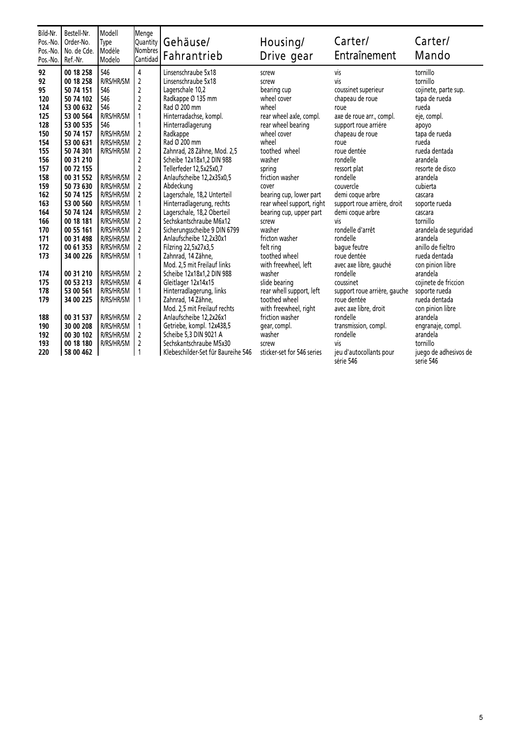| Bild-Nr.<br>Pos.-No.<br>Pos.-No.<br>Pos.-No.                                                                                                               | Bestell-Nr.<br>Order-No.<br>No. de Cde.<br>Ref.-Nr.                                                                                                                                                                                                                                                     | Modell<br>Type<br>Modéle<br>Modelo                                                                                                                                                                                                                                     | Menge<br>Quantity<br><b>Nombres</b><br>Cantidad                                                                                                                                                                                                                                    | Gehäuse/<br>Fahrantrieb                                                                                                                                                                                                                                                                                                                                                                                                                                                                                                                                                                                   | Housing/<br>Drive gear                                                                                                                                                                                                                                                                                                                                                                  | Carter/<br>Entraînement                                                                                                                                                                                                                                                                                                                                                                            | Carter/<br>Mando                                                                                                                                                                                                                                                                                                                                                |
|------------------------------------------------------------------------------------------------------------------------------------------------------------|---------------------------------------------------------------------------------------------------------------------------------------------------------------------------------------------------------------------------------------------------------------------------------------------------------|------------------------------------------------------------------------------------------------------------------------------------------------------------------------------------------------------------------------------------------------------------------------|------------------------------------------------------------------------------------------------------------------------------------------------------------------------------------------------------------------------------------------------------------------------------------|-----------------------------------------------------------------------------------------------------------------------------------------------------------------------------------------------------------------------------------------------------------------------------------------------------------------------------------------------------------------------------------------------------------------------------------------------------------------------------------------------------------------------------------------------------------------------------------------------------------|-----------------------------------------------------------------------------------------------------------------------------------------------------------------------------------------------------------------------------------------------------------------------------------------------------------------------------------------------------------------------------------------|----------------------------------------------------------------------------------------------------------------------------------------------------------------------------------------------------------------------------------------------------------------------------------------------------------------------------------------------------------------------------------------------------|-----------------------------------------------------------------------------------------------------------------------------------------------------------------------------------------------------------------------------------------------------------------------------------------------------------------------------------------------------------------|
| 92<br>92<br>95<br>120<br>124<br>125<br>128<br>150<br>154<br>155<br>156<br>157<br>158<br>159<br>162<br>163<br>164<br>166<br>170<br>171<br>172<br>173<br>174 | 00 18 258<br>00 18 258<br>50 74 151<br>50 74 102<br>53 00 632<br>53 00 564<br>53 00 535<br>50 74 157<br>53 00 631<br>50 74 301<br>00 31 210<br>00 72 155<br>00 31 552<br>50 73 630<br>50 74 125<br>53 00 560<br>50 74 124<br>00 18 181<br>00 55 161<br>00 31 498<br>00 61 353<br>34 00 226<br>00 31 210 | 546<br>R/RS/HR/SM<br>546<br>546<br>546<br>R/RS/HR/SM<br>546<br>R/RS/HR/SM<br><b>R/RS/HR/SM</b><br>R/RS/HR/SM<br>R/RS/HR/SM<br>R/RS/HR/SM<br>R/RS/HR/SM<br>R/RS/HR/SM<br>R/RS/HR/SM<br>R/RS/HR/SM<br>R/RS/HR/SM<br>R/RS/HR/SM<br>R/RS/HR/SM<br>R/RS/HR/SM<br>R/RS/HR/SM | 4<br>$\overline{2}$<br>$\mathbf 2$<br>$\mathbf 2$<br>$\mathbf 2$<br>1<br>1<br>2<br>$\overline{2}$<br>$\sqrt{2}$<br>$\mathbf 2$<br>$\mathbf 2$<br>$\overline{2}$<br>$\overline{2}$<br>$\overline{2}$<br>1<br>2<br>2<br>2<br>$\overline{2}$<br>$\overline{2}$<br>1<br>$\overline{2}$ | Linsenschraube 5x18<br>Linsenschraube 5x18<br>Lagerschale 10,2<br>Radkappe Ø 135 mm<br>Rad Ø 200 mm<br>Hinterradachse, kompl.<br>Hinterradlagerung<br>Radkappe<br>Rad Ø 200 mm<br>Zahnrad, 28 Zähne, Mod. 2,5<br>Scheibe 12x18x1,2 DIN 988<br>Tellerfeder 12,5x25x0,7<br>Anlaufscheibe 12,2x35x0,5<br>Abdeckung<br>Lagerschale, 18,2 Unterteil<br>Hinterradlagerung, rechts<br>Lagerschale, 18,2 Oberteil<br>Sechskantschraube M6x12<br>Sicherungsscheibe 9 DIN 6799<br>Anlaufscheibe 12,2x30x1<br>Filzring 22,5x27x3,5<br>Zahnrad, 14 Zähne,<br>Mod. 2,5 mit Freilauf links<br>Scheibe 12x18x1,2 DIN 988 | screw<br>screw<br>bearing cup<br>wheel cover<br>wheel<br>rear wheel axle, compl.<br>rear wheel bearing<br>wheel cover<br>wheel<br>toothed wheel<br>washer<br>spring<br>friction washer<br>cover<br>bearing cup, lower part<br>rear wheel support, right<br>bearing cup, upper part<br>screw<br>washer<br>fricton washer<br>felt ring<br>toothed wheel<br>with freewheel, left<br>washer | vis<br>vis<br>coussinet superieur<br>chapeau de roue<br>roue<br>axe de roue arr., compl.<br>support roue arriére<br>chapeau de roue<br>roue<br>roue dentée<br>rondelle<br>ressort plat<br>rondelle<br>couvercle<br>demi coque arbre<br>support roue arrière, droit<br>demi coque arbre<br>viς<br>rondelle d'arrêt<br>rondelle<br>bague feutre<br>roue dentée<br>avec axe libre, gauché<br>rondelle | tornillo<br>tornillo<br>cojinete, parte sup.<br>tapa de rueda<br>rueda<br>eje, compl.<br>apoyo<br>tapa de rueda<br>rueda<br>rueda dentada<br>arandela<br>resorte de disco<br>arandela<br>cubierta<br>cascara<br>soporte rueda<br>cascara<br>tornillo<br>arandela de seguridad<br>arandela<br>anillo de fieltro<br>rueda dentada<br>con pinion libre<br>arandela |
| 175<br>178<br>179                                                                                                                                          | 00 53 213<br>53 00 561<br>34 00 225                                                                                                                                                                                                                                                                     | R/RS/HR/SM<br>R/RS/HR/SM<br>R/RS/HR/SM                                                                                                                                                                                                                                 | 4                                                                                                                                                                                                                                                                                  | Gleitlager 12x14x15<br>Hinterradlagerung, links<br>Zahnrad, 14 Zähne,<br>Mod. 2,5 mit Freilauf rechts                                                                                                                                                                                                                                                                                                                                                                                                                                                                                                     | slide bearing<br>rear whell support, left<br>toothed wheel<br>with freewheel, right                                                                                                                                                                                                                                                                                                     | coussinet<br>support roue arrière, gauche<br>roue dentée<br>avec axe libre, droit                                                                                                                                                                                                                                                                                                                  | cojinete de friccion<br>soporte rueda<br>rueda dentada<br>con pinion libre                                                                                                                                                                                                                                                                                      |
| 188<br>190<br>192<br>193<br>220                                                                                                                            | 00 31 537<br>30 00 208<br>00 30 102<br>00 18 180<br>58 00 462                                                                                                                                                                                                                                           | R/RS/HR/SM<br>R/RS/HR/SM<br>R/RS/HR/SM<br>R/RS/HR/SM                                                                                                                                                                                                                   | $\overline{2}$<br>1<br>2<br>$\mathbf 2$<br>$\mathbf{1}$                                                                                                                                                                                                                            | Anlaufscheibe 12.2x26x1<br>Getriebe, kompl. 12x438,5<br>Scheibe 5,3 DIN 9021 A<br>Sechskantschraube M5x30<br>Klebeschilder-Set für Baureihe 546                                                                                                                                                                                                                                                                                                                                                                                                                                                           | friction washer<br>gear, compl.<br>washer<br>screw<br>sticker-set for 546 series                                                                                                                                                                                                                                                                                                        | rondelle<br>transmission, compl.<br>rondelle<br><b>Vis</b><br>jeu d'autocollants pour<br>série 546                                                                                                                                                                                                                                                                                                 | arandela<br>engranaje, compl.<br>arandela<br>tornillo<br>juego de adhesivos de<br>serie 546                                                                                                                                                                                                                                                                     |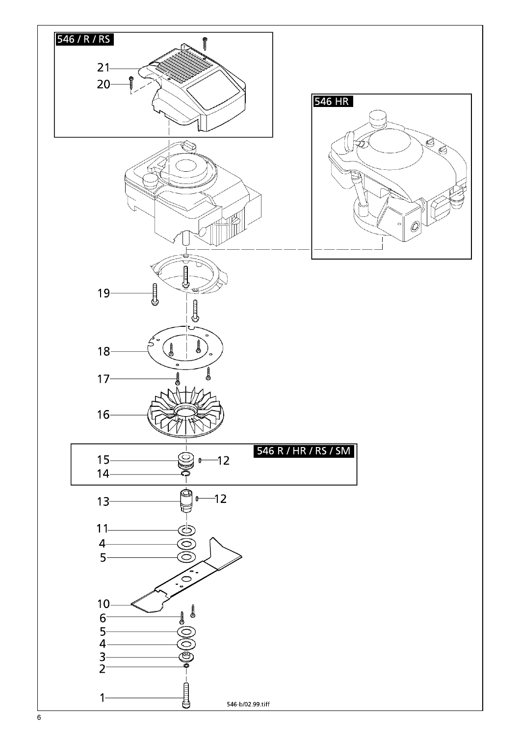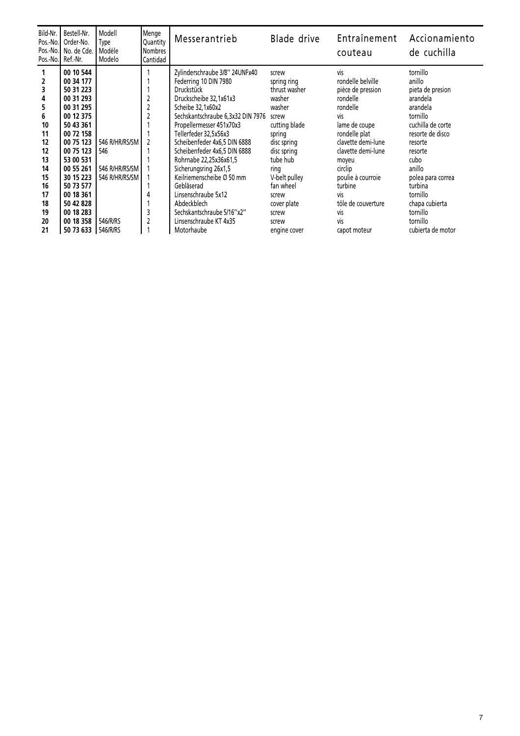| Bild-Nr.<br>Pos.-No.<br>Pos.-No.I<br>Pos.-No.                                                       | Bestell-Nr.<br>Order-No.<br>No. de Cde.<br>Ref.-Nr.                                                                                                                                                                                                 | Modell<br>Type<br>Modéle<br>Modelo                                                | Menge<br>Quantity<br><b>Nombres</b><br>Cantidad      | Messerantrieb                                                                                                                                                                                                                                                                                                                                                                                                                                                                                   | Blade drive                                                                                                                                                                                                                             | Entraînement<br>couteau                                                                                                                                                                                                                                                                 | Accionamiento<br>de cuchilla                                                                                                                                                                                                                                           |
|-----------------------------------------------------------------------------------------------------|-----------------------------------------------------------------------------------------------------------------------------------------------------------------------------------------------------------------------------------------------------|-----------------------------------------------------------------------------------|------------------------------------------------------|-------------------------------------------------------------------------------------------------------------------------------------------------------------------------------------------------------------------------------------------------------------------------------------------------------------------------------------------------------------------------------------------------------------------------------------------------------------------------------------------------|-----------------------------------------------------------------------------------------------------------------------------------------------------------------------------------------------------------------------------------------|-----------------------------------------------------------------------------------------------------------------------------------------------------------------------------------------------------------------------------------------------------------------------------------------|------------------------------------------------------------------------------------------------------------------------------------------------------------------------------------------------------------------------------------------------------------------------|
| 2<br>3<br>4<br>5<br>6<br>10<br>11<br>12<br>12<br>13<br>14<br>15<br>16<br>17<br>18<br>19<br>20<br>21 | 00 10 544<br>00 34 177<br>50 31 223<br>00 31 293<br>00 31 295<br>00 12 375<br>50 43 361<br>00 72 158<br>00 75 123<br>00 75 123<br>53 00 531<br>00 55 261<br>30 15 223<br>50 73 577<br>00 18 361<br>50 42 828<br>00 18 283<br>00 18 358<br>50 73 633 | 546 R/HR/RS/SM<br>546<br>546 R/HR/RS/SM<br>546 R/HR/RS/SM<br>546/R/RS<br>546/R/RS | 2<br>$\overline{2}$<br>$\overline{c}$<br>2<br>3<br>2 | Zylinderschraube 3/8" 24UNFx40<br>Federring 10 DIN 7980<br><b>Druckstück</b><br>Druckscheibe 32,1x61x3<br>Scheibe 32,1x60x2<br>Sechskantschraube 6,3x32 DIN 7976<br>Propellermesser 451x70x3<br>Tellerfeder 32,5x56x3<br>Scheibenfeder 4x6,5 DIN 6888<br>Scheibenfeder 4x6,5 DIN 6888<br>Rohrnabe 22,25x36x61,5<br>Sicherungsring 26x1,5<br>Keilriemenscheibe Ø 50 mm<br>Gebläserad<br>Linsenschraube 5x12<br>Abdeckblech<br>Sechskantschraube 5/16"x2"<br>Linsenschraube KT 4x35<br>Motorhaube | screw<br>spring ring<br>thrust washer<br>washer<br>washer<br>screw<br>cutting blade<br>spring<br>disc spring<br>disc spring<br>tube hub<br>ring<br>V-belt pulley<br>fan wheel<br>screw<br>cover plate<br>screw<br>screw<br>engine cover | vis<br>rondelle belville<br>pièce de pression<br>rondelle<br>rondelle<br>vis<br>lame de coupe<br>rondelle plat<br>clavette demi-lune<br>clavette demi-lune<br>moyeu<br>circlip<br>poulie à courroie<br>turbine<br>vis<br>tôle de couverture<br><b>Vis</b><br><b>Vis</b><br>capot moteur | tornillo<br>anillo<br>pieta de presion<br>arandela<br>arandela<br>tornillo<br>cuchilla de corte<br>resorte de disco<br>resorte<br>resorte<br>cubo<br>anillo<br>polea para correa<br>turbina<br>tornillo<br>chapa cubierta<br>tornillo<br>tornillo<br>cubierta de motor |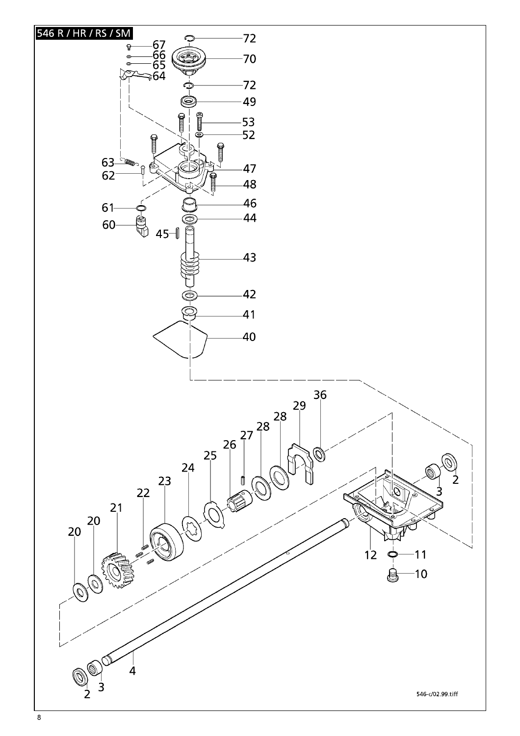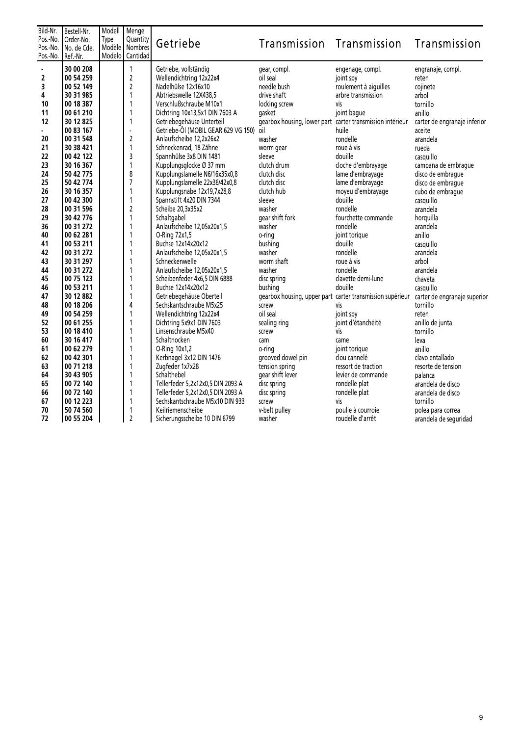| Bild-Nr.<br>Pos.-No.<br>Pos.-No.<br>Pos.-No.                                                                                              | Bestell-Nr.<br>Order-No.<br>No. de Cde.<br>Ref.-Nr.                                                                                                                                                                                                                                                                               | Modell<br>Type<br>Modèle | Menge<br>Quantity<br>Nombres<br>Modelo Cantidad                                                                                                                                                          | Getriebe                                                                                                                                                                                                                                                                                                                                                                                                                                                                                                                                                                                                                                                                                         | Transmission Transmission                                                                                                                                                                                                                                                                                                                                                |                                                                                                                                                                                                                                                                                                                                                                                       | Transmission                                                                                                                                                                                                                                                                                                                                                |
|-------------------------------------------------------------------------------------------------------------------------------------------|-----------------------------------------------------------------------------------------------------------------------------------------------------------------------------------------------------------------------------------------------------------------------------------------------------------------------------------|--------------------------|----------------------------------------------------------------------------------------------------------------------------------------------------------------------------------------------------------|--------------------------------------------------------------------------------------------------------------------------------------------------------------------------------------------------------------------------------------------------------------------------------------------------------------------------------------------------------------------------------------------------------------------------------------------------------------------------------------------------------------------------------------------------------------------------------------------------------------------------------------------------------------------------------------------------|--------------------------------------------------------------------------------------------------------------------------------------------------------------------------------------------------------------------------------------------------------------------------------------------------------------------------------------------------------------------------|---------------------------------------------------------------------------------------------------------------------------------------------------------------------------------------------------------------------------------------------------------------------------------------------------------------------------------------------------------------------------------------|-------------------------------------------------------------------------------------------------------------------------------------------------------------------------------------------------------------------------------------------------------------------------------------------------------------------------------------------------------------|
| ä,<br>2<br>3<br>4<br>10<br>11<br>12<br>20<br>21<br>22<br>23<br>24<br>25<br>26<br>27<br>28<br>29<br>36<br>40<br>41<br>42<br>43<br>44<br>45 | 30 00 208<br>00 54 259<br>00 52 149<br>30 31 985<br>00 18 387<br>00 61 210<br>30 12 825<br>00 83 167<br>00 31 548<br>30 38 421<br>00 42 122<br>30 16 367<br>50 42 775<br>50 42 774<br>30 16 357<br>00 42 300<br>00 31 596<br>30 42 776<br>00 31 272<br>00 62 281<br>00 53 211<br>00 31 272<br>30 31 297<br>00 31 272<br>00 75 123 |                          | $\mathbf{1}$<br>$\overline{2}$<br>$\overline{2}$<br>1<br>1<br>1<br>$\overline{a}$<br>$\overline{2}$<br>1<br>3<br>1<br>8<br>$\overline{7}$<br>1<br>1<br>$\overline{2}$<br>1<br>1<br>1<br>1<br>1<br>1<br>1 | Getriebe, vollständig<br>Wellendichtring 12x22x4<br>Nadelhülse 12x16x10<br>Abtriebswelle 12X438,5<br>Verschlußschraube M10x1<br>Dichtring 10x13,5x1 DIN 7603 A<br>Getriebegehäuse Unterteil<br>Getriebe-Öl (MOBIL GEAR 629 VG 150)<br>Anlaufscheibe 12.2x26x2<br>Schneckenrad, 18 Zähne<br>Spannhülse 3x8 DIN 1481<br>Kupplungsglocke Ø 37 mm<br>Kupplungslamelle N6/16x35x0,8<br>Kupplungslamelle 22x36/42x0,8<br>Kupplungsnabe 12x19,7x28,8<br>Spannstift 4x20 DIN 7344<br>Scheibe 20,3x35x2<br>Schaltgabel<br>Anlaufscheibe 12,05x20x1,5<br>O-Ring 72x1,5<br>Buchse 12x14x20x12<br>Anlaufscheibe 12,05x20x1,5<br>Schneckenwelle<br>Anlaufscheibe 12,05x20x1,5<br>Scheibenfeder 4x6,5 DIN 6888 | gear, compl.<br>oil seal<br>needle bush<br>drive shaft<br>locking screw<br>aasket<br>gearbox housing, lower part carter transmission intérieur<br>oil<br>washer<br>worm gear<br>sleeve<br>clutch drum<br>clutch disc<br>clutch disc<br>clutch hub<br>sleeve<br>washer<br>gear shift fork<br>washer<br>o-ring<br>bushing<br>washer<br>worm shaft<br>washer<br>disc spring | engenage, compl.<br>joint spy<br>roulement à aiguilles<br>arbre transmission<br>νiς<br>joint bague<br>huile<br>rondelle<br>roue à vis<br>douille<br>cloche d'embrayage<br>lame d'embrayage<br>lame d'embrayage<br>moyeu d'embrayage<br>douille<br>rondelle<br>fourchette commande<br>rondelle<br>joint torique<br>douille<br>rondelle<br>roue à vis<br>rondelle<br>clavette demi-lune | engranaje, compl.<br>reten<br>cojinete<br>arbol<br>tornillo<br>anillo<br>carter de engranaje inferior<br>aceite<br>arandela<br>rueda<br>casquillo<br>campana de embrague<br>disco de embraque<br>disco de embraque<br>cubo de embrague<br>casquillo<br>arandela<br>horquilla<br>arandela<br>anillo<br>casquillo<br>arandela<br>arbol<br>arandela<br>chaveta |
| 46<br>47<br>48<br>49<br>52<br>53<br>60<br>61<br>62<br>63<br>64<br>65<br>66<br>67<br>70<br>72                                              | 00 53 211<br>30 12 882<br>00 18 206<br>00 54 259<br>00 61 255<br>00 18 410<br>30 16 417<br>00 62 279<br>00 42 301<br>00 71 218<br>30 43 905<br>00 72 140<br>00 72 140<br>00 12 223<br>50 74 560<br>00 55 204                                                                                                                      |                          | 1<br>1<br>4<br>1<br>1<br>1<br>1<br>1<br>1<br>1<br>1<br>1<br>1<br>1<br>$\overline{2}$                                                                                                                     | Buchse 12x14x20x12<br>Getriebegehäuse Oberteil<br>Sechskantschraube M5x25<br>Wellendichtring 12x22x4<br>Dichtring 5x9x1 DIN 7603<br>Linsenschraube M5x40<br>Schaltnocken<br>O-Ring 10x1,2<br>Kerbnagel 3x12 DIN 1476<br>Zugfeder 1x7x28<br>Schalthebel<br>Tellerfeder 5,2x12x0,5 DIN 2093 A<br>Tellerfeder 5,2x12x0,5 DIN 2093 A<br>Sechskantschraube M5x10 DIN 933<br>Keilriemenscheibe<br>Sicherungsscheibe 10 DIN 6799                                                                                                                                                                                                                                                                        | bushing<br>screw<br>oil seal<br>sealing ring<br>screw<br>cam<br>o-ring<br>grooved dowel pin<br>tension spring<br>gear shift lever<br>disc spring<br>disc spring<br>screw<br>v-belt pulley<br>washer                                                                                                                                                                      | douille<br>gearbox housing, upper part carter transmission supérieur carter de engranaje superior<br>vis<br>joint spy<br>joint d'étanchéité<br>vis<br>came<br>joint torique<br>clou cannelé<br>ressort de traction<br>levier de commande<br>rondelle plat<br>rondelle plat<br>vis<br>poulie à courroie<br>roudelle d'arrêt                                                            | casquillo<br>tornillo<br>reten<br>anillo de junta<br>tornillo<br>leva<br>anillo<br>clavo entallado<br>resorte de tension<br>palanca<br>arandela de disco<br>arandela de disco<br>tornillo<br>polea para correa<br>arandela de seguridad                                                                                                                     |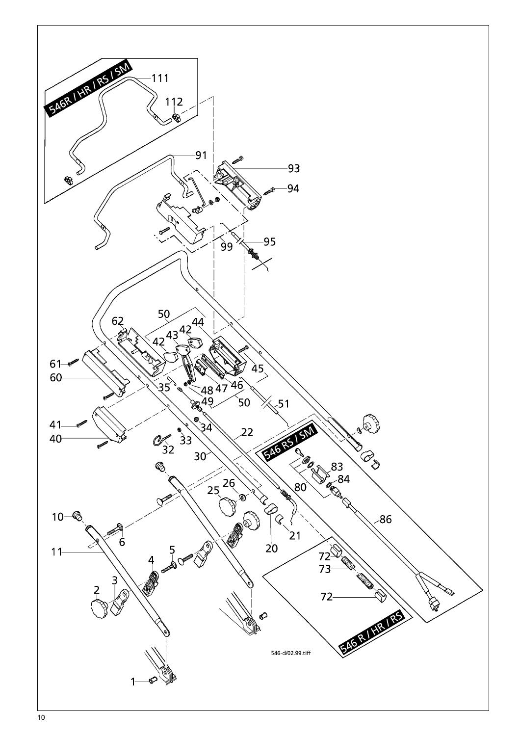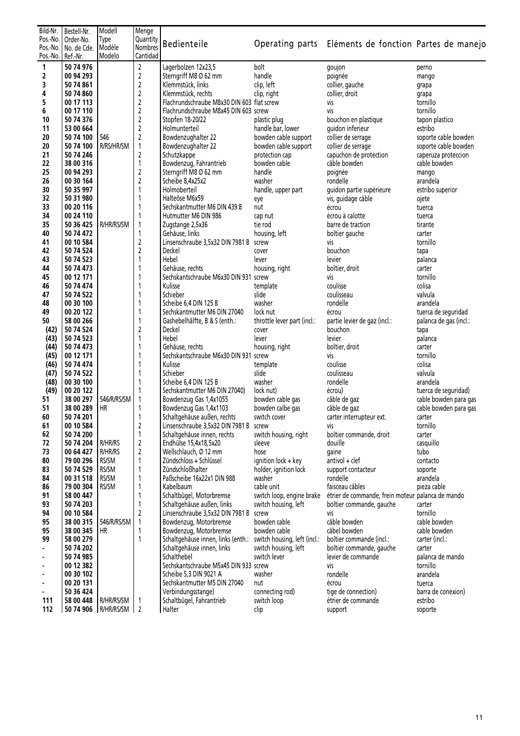| Bild-Nr.          | Bestell-Nr.            | Modell                     | Menge            |                                            |                              |                                                       |                              |
|-------------------|------------------------|----------------------------|------------------|--------------------------------------------|------------------------------|-------------------------------------------------------|------------------------------|
| Pos.-No.          | Order-No.              | Type                       | Quantity         |                                            |                              |                                                       |                              |
|                   | Pos.-No.   No. de Cde. | Modèle                     | <b>Nombres</b>   | Bedienteile                                |                              | Operating parts Eléments de fonction Partes de manejo |                              |
| Pos.-No. Ref.-Nr. |                        | Modelo                     | Cantidad         |                                            |                              |                                                       |                              |
|                   |                        |                            |                  |                                            |                              |                                                       |                              |
| $\mathbf{1}$      | 50 74 976              |                            | $\overline{2}$   | Lagerbolzen 12x23,5                        | bolt                         | goujon                                                | perno                        |
| 2                 | 00 94 293              |                            | $\mathbf 2$      | Sterngriff M8 Ø 62 mm                      | handle                       | poignée                                               | mango                        |
| 3                 | 50 74 861              |                            | $\mathbf 2$      | Klemmstück, links                          | clip, left                   | collier, gauche                                       | grapa                        |
| 4                 | 50 74 860              |                            | $\mathbf 2$      | Klemmstück, rechts                         | clip, right                  | collier, droit                                        | grapa                        |
| 5                 | 00 17 113              |                            | $\mathbf 2$      | Flachrundschraube M8x30 DIN 603 flat screw |                              | vis                                                   | tornillo                     |
| 6                 | 00 17 110              |                            | $\mathbf 2$      | Flachrundschraube M8x45 DIN 603 screw      |                              | vis                                                   | tornillo                     |
| 10                | 50 74 376              |                            | $\mathbf 2$      | Stopfen 18-20/22                           | plastic plug                 | bouchon en plastique                                  | tapon plastico               |
| 11                | 53 00 664              |                            | $\mathbf 2$      | Holmunterteil                              | handle bar, lower            | quidon inferieur                                      | estribo                      |
| 20                | 50 74 100              | 546                        | $\overline{2}$   | Bowdenzughalter 22                         | bowden cable support         | collier de serrage                                    | soporte cable bowden         |
| 20                | 50 74 100              | R/RS/HR/SM                 | 1                | Bowdenzughalter 22                         | bowden cable support         | collier de serrage                                    | soporte cable bowden         |
| 21                | 50 74 246              |                            | 2                | Schutzkappe                                | protection cap               | capuchon de protection                                | caperuza proteccion          |
| 22                | 38 00 316              |                            | $\mathbf{1}$     | Bowdenzug, Fahrantrieb                     | bowden cable                 | câble bowden                                          | cable bowden                 |
| 25                | 00 94 293              |                            | $\mathbf 2$      | Sterngriff M8 Ø 62 mm                      | handle                       | poignée                                               | mango                        |
| 26                | 00 30 164              |                            | $\overline{2}$   | Scheibe 8,4x25x2                           | washer                       | rondelle                                              | arandela                     |
| 30                |                        |                            | 1                |                                            |                              |                                                       |                              |
|                   | 50 35 997              |                            |                  | Holmoberteil                               | handle, upper part           | guidon partie supérieure                              | estribo superior             |
| 32                | 50 31 980              |                            | 1                | Halteöse M6x59                             | eye                          | vis, guidage câble                                    | ojete                        |
| 33                | 00 20 116              |                            | 1                | Sechskantmutter M6 DIN 439 B               | nut                          | écrou                                                 | tuerca                       |
| 34                | 00 24 110              |                            | 1                | Hutmutter M6 DIN 986                       | cap nut                      | écrou à calotte                                       | tuerca                       |
| 35                | 50 36 425              | R/HR/RS/SM                 | $\mathbf{1}$     | Zugstange 2,5x36                           | tie rod                      | barre de traction                                     | tirante                      |
| 40                | 50 74 472              |                            | $\mathbf{1}$     | Gehäuse, links                             | housing, left                | boîtier gauche                                        | carter                       |
| 41                | 00 10 584              |                            | $\boldsymbol{2}$ | Linsenschraube 3,5x32 DIN 7981 B screw     |                              | vis                                                   | tornillo                     |
| 42                | 50 74 524              |                            | $\overline{2}$   | Deckel                                     | cover                        | bouchon                                               | tapa                         |
| 43                | 50 74 523              |                            | 1                | Hebel                                      | lever                        | levier                                                | palanca                      |
| 44                | 50 74 473              |                            | 1                | Gehäuse, rechts                            | housing, right               | boîtier, droit                                        | carter                       |
| 45                | 00 12 171              |                            |                  | Sechskantschraube M6x30 DIN 931 screw      |                              | vis                                                   | tornillo                     |
| 46                | 50 74 474              |                            | 1                | Kulisse                                    | template                     | coulisse                                              | colisa                       |
| 47                | 50 74 522              |                            | 1                | Schieber                                   | slide                        | coulisseau                                            | valvula                      |
| 48                | 00 30 100              |                            |                  | Scheibe 6,4 DIN 125 B                      | washer                       | rondelle                                              | arandela                     |
| 49                | 00 20 122              |                            | 1                | Sechskantmutter M6 DIN 27040               | lock nut                     | écrou                                                 | tuerca de seguridad          |
| 50                | 58 00 266              |                            | 1                | Gashebelhälfte, B & S (enth.:              | throttle lever part (incl.:  | partie levier de gaz (incl.:                          | palanca de gas (incl.:       |
| (42)              | 50 74 524              |                            | $\mathbf 2$      | Deckel                                     | cover                        | bouchon                                               | tapa                         |
| (43)              | 50 74 523              |                            | 1                | Hebel                                      | lever                        | levier                                                | palanca                      |
| (44)              | 50 74 473              |                            | 1                | Gehäuse, rechts                            | housing, right               | boîtier, droit                                        | carter                       |
| (45)              | 00 12 171              |                            |                  | Sechskantschraube M6x30 DIN 931 screw      |                              | vis                                                   | tornillo                     |
| (46)              | 50 74 474              |                            | 1                | Kulisse                                    | template                     | coulisse                                              | colisa                       |
|                   |                        |                            |                  |                                            |                              |                                                       |                              |
| (47)              | 50 74 522              |                            |                  | Schieber                                   | slide                        | coulisseau                                            | valvula                      |
| (48)              | 00 30 100              |                            |                  | Scheibe 6,4 DIN 125 B                      | washer                       | rondelle                                              | arandela                     |
| (49)              | 00 20 122              |                            | 1                | Sechskantmutter M6 DIN 27040)              | lock nut)                    | écrou)                                                | tuerca de seguridad)         |
| 51                | 38 00 297              | 546/R/RS/SM                | 1                | Bowdenzug Gas 1,4x1055                     | bowden cable gas             | câble de gaz                                          | cable bowden para gas        |
| 51                | 38 00 289              | HR                         | 1                | Bowdenzug Gas 1,4x1103                     | bowden calbe gas             | câble de gaz                                          | cable bowden para gas        |
| 60                | 50 74 201              |                            | 1                | Schaltgehäuse außen, rechts                | switch cover                 | carter interrupteur ext.                              | carter                       |
| 61                | 00 10 584              |                            | $\mathbf 2$      | Linsenschraube 3,5x32 DIN 7981 B screw     |                              | vis                                                   | tornillo                     |
| 62                | 50 74 200              |                            | 1                | Schaltgehäuse innen, rechts                | switch housing, right        | boîtier commande, droit                               | carter                       |
| 72                | 50 74 204              | R/HR/RS                    | $\mathbf 2$      | Endhülse 15,4x18,5x20                      | sleeve                       | douille                                               | casquillo                    |
| 73                | 00 64 427              | R/HR/RS                    | $\mathbf 2$      | Wellschlauch, Ø 12 mm                      | hose                         | gaine                                                 | tubo                         |
| 80                | 79 00 296              | RS/SM                      | 1                | Zündschloss + Schlüssel                    | ignition lock + key          | antivol + clef                                        | contacto                     |
| 83                | 50 74 529              | RS/SM                      | 1                | Zündschloßhalter                           | holder, ignition lock        | support contacteur                                    | soporte                      |
| 84                | 00 31 518              | RS/SM                      | 1                | Paßscheibe 16x22x1 DIN 988                 | washer                       | rondelle                                              | arandela                     |
| 86                | 79 00 304              | RS/SM                      | 1                | Kabelbaum                                  | cable unit                   | faisceau câbles                                       | pieza cable                  |
| 91                | 58 00 447              |                            | 1                | Schaltbügel, Motorbremse                   | switch loop, engine brake    | étrier de commande, frein moteur palanca de mando     |                              |
| 93                | 50 74 203              |                            | 1                | Schaltgehäuse außen, links                 | switch housing, left         | boîtier commande, gauche                              | carter                       |
| 94                | 00 10 584              |                            | $\overline{2}$   | Linsenschraube 3,5x32 DIN 7981 B screw     |                              | vis                                                   | tornillo                     |
| 95                | 38 00 315              | 546/R/RS/SM                | $\mathbf{1}$     | Bowdenzug, Motorbremse                     | bowden cable                 | câble bowden                                          | cable bowden                 |
| 95                | 38 00 345              | <b>HR</b>                  | 1                | Bowdenzug, Motorbremse                     | bowden cable                 | câbel bowden                                          | cable bowden                 |
| 99                | 58 00 279              |                            | 1                | Schaltgehäuse innen, links (enth.:         | switch housing, left (incl.: | boîtier commande (incl.:                              | carter (incl.:               |
|                   | 50 74 202              |                            |                  | Schaltgehäuse innen, links                 | switch housing, left         | boîtier commande, gauche                              | carter                       |
|                   | 50 74 985              |                            |                  | Schalthebel                                | switch lever                 | levier de commande                                    | palanca de mando             |
|                   | 00 12 382              |                            |                  | Sechskantschraube M5x45 DIN 933 screw      |                              | vis                                                   | tornillo                     |
|                   | 00 30 102              |                            |                  | Scheibe 5,3 DIN 9021 A                     | washer                       | rondelle                                              | arandela                     |
|                   | 00 20 131              |                            |                  | Sechskantmutter M5 DIN 27040               | nut                          |                                                       |                              |
| ٠                 | 50 36 424              |                            |                  | Verbindungsstange)                         | connecting rod)              | écrou<br>tige de connection)                          | tuerca<br>barra de conexion) |
| 111               | 58 00 448              | R/HR/RS/SM                 | 1                | Schaltbügel, Fahrantrieb                   |                              | étrier de commande                                    | estribo                      |
|                   |                        |                            |                  |                                            | switch loop                  |                                                       |                              |
| 112               |                        | 50 74 906   R/HR/RS/SM   2 |                  | Halter                                     | clip                         | support                                               | soporte                      |